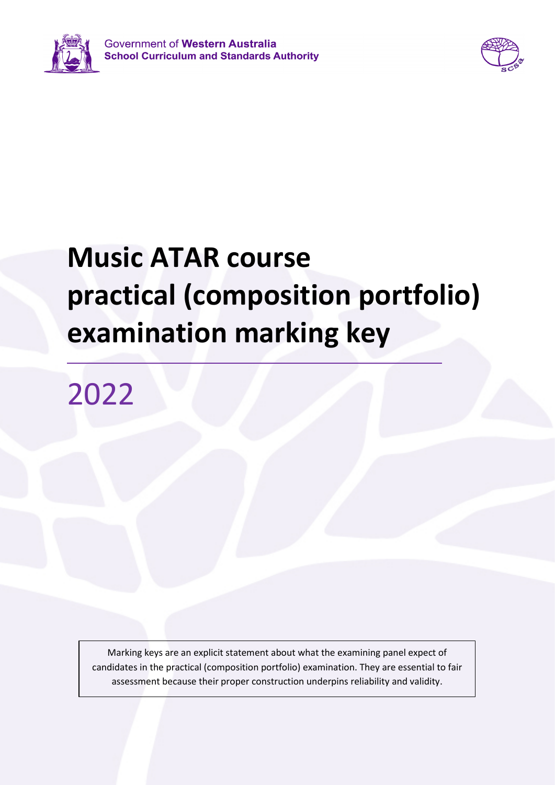



## **Music ATAR course practical (composition portfolio) examination marking key**

2022

Marking keys are an explicit statement about what the examining panel expect of candidates in the practical (composition portfolio) examination. They are essential to fair assessment because their proper construction underpins reliability and validity.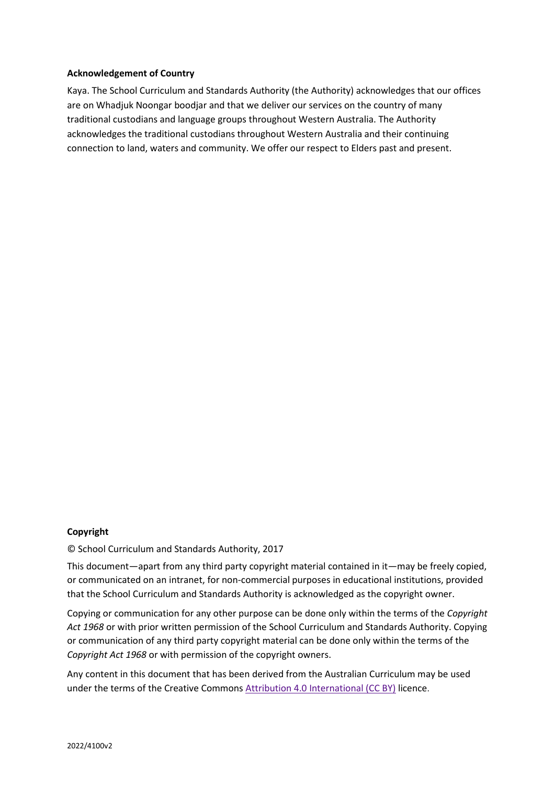## **Acknowledgement of Country**

Kaya. The School Curriculum and Standards Authority (the Authority) acknowledges that our offices are on Whadjuk Noongar boodjar and that we deliver our services on the country of many traditional custodians and language groups throughout Western Australia. The Authority acknowledges the traditional custodians throughout Western Australia and their continuing connection to land, waters and community. We offer our respect to Elders past and present.

## **Copyright**

© School Curriculum and Standards Authority, 2017

This document—apart from any third party copyright material contained in it—may be freely copied, or communicated on an intranet, for non-commercial purposes in educational institutions, provided that the School Curriculum and Standards Authority is acknowledged as the copyright owner.

Copying or communication for any other purpose can be done only within the terms of the *Copyright Act 1968* or with prior written permission of the School Curriculum and Standards Authority. Copying or communication of any third party copyright material can be done only within the terms of the *Copyright Act 1968* or with permission of the copyright owners.

Any content in this document that has been derived from the Australian Curriculum may be used under the terms of the Creative Commons [Attribution 4.0 International \(CC BY\)](https://creativecommons.org/licenses/by/4.0/) licence.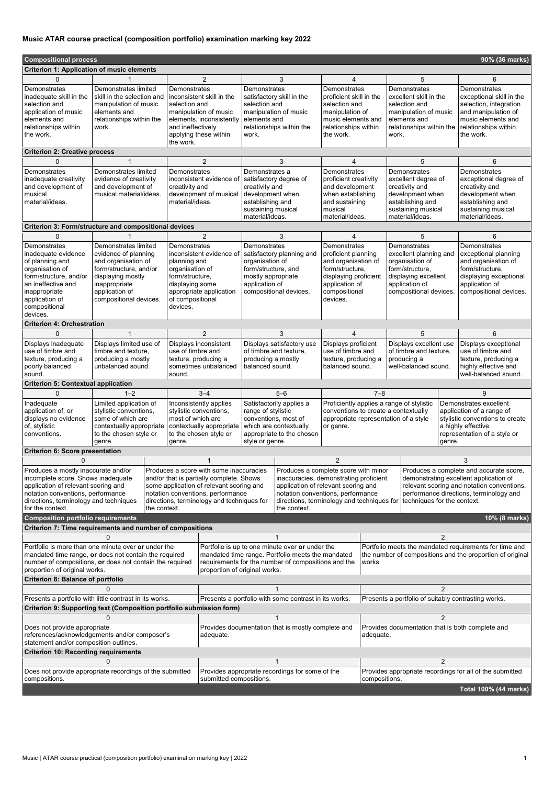## **Music ATAR course practical (composition portfolio) examination marking key 2022**

| <b>Criterion 1: Application of music elements</b><br>$\Omega$<br>2<br>3<br>5<br>6<br>4<br>Demonstrates limited<br>Demonstrates<br>Demonstrates<br>Demonstrates<br>Demonstrates<br>Demonstrates<br>inadequate skill in the<br>skill in the selection and<br>inconsistent skill in the<br>satisfactory skill in the<br>proficient skill in the<br>excellent skill in the<br>exceptional skill in the<br>selection and<br>selection and<br>selection and<br>selection, integration<br>selection and<br>manipulation of music<br>selection and<br>and manipulation of<br>application of music<br>elements and<br>manipulation of music<br>manipulation of music<br>manipulation of<br>manipulation of music<br>music elements and<br>elements and<br>elements, inconsistently<br>elements and<br>music elements and<br>elements and<br>relationships within the<br>relationships within<br>and ineffectively<br>relationships within the<br>relationships within<br>work.<br>relationships within<br>relationships within the<br>applying these within<br>the work.<br>work.<br>the work.<br>work.<br>the work.<br>the work.<br><b>Criterion 2: Creative process</b><br>$\overline{2}$<br>3<br>6<br>$\Omega$<br>5<br>4<br>Demonstrates<br>Demonstrates limited<br>Demonstrates<br>Demonstrates a<br><b>Demonstrates</b><br><b>Demonstrates</b><br>Demonstrates<br>satisfactory degree of<br>proficient creativity<br>inadequate creativity<br>evidence of creativity<br>inconsistent evidence of<br>excellent degree of<br>exceptional degree of<br>and development of<br>and development of<br>creativity and<br>and development<br>creativity and<br>creativity and<br>creativity and<br>development when<br>musical material/ideas.<br>development of musical<br>development when<br>when establishing<br>development when<br>musical<br>establishing and<br>material/ideas.<br>establishing and<br>establishing and<br>material/ideas.<br>and sustaining<br>sustaining musical<br>sustaining musical<br>sustaining musical<br>musical<br>material/ideas.<br>material/ideas.<br>material/ideas.<br>material/ideas.<br><b>Criterion 3: Form/structure and compositional devices</b><br>$\overline{2}$<br>3<br>5<br>6<br>$\overline{4}$<br>0<br>Demonstrates limited<br>Demonstrates<br>Demonstrates<br>Demonstrates<br>Demonstrates<br>Demonstrates<br>inadequate evidence<br>evidence of planning<br>excellent planning and<br>exceptional planning<br>inconsistent evidence of<br>satisfactory planning and<br>proficient planning<br>of planning and<br>and organisation of<br>organisation of<br>and organisation of<br>organisation of<br>and organisation of<br>planning and<br>organisation of<br>form/structure, and/or<br>form/structure, and<br>form/structure,<br>form/structure,<br>form/structure,<br>organisation of<br>form/structure, and/or<br>form/structure,<br>mostly appropriate<br>displaying excellent<br>displaying mostly<br>displaying proficient<br>displaying exceptional<br>an ineffective and<br>application of<br>application of<br>application of<br>application of<br>inappropriate<br>displaying some<br>appropriate application<br>inappropriate<br>application of<br>compositional devices.<br>compositional<br>compositional devices.<br>compositional devices.<br>of compositional<br>application of<br>compositional devices.<br>devices.<br>compositional<br>devices.<br>devices.<br><b>Criterion 4: Orchestration</b><br>3<br>6<br>2<br>5<br>$\Omega$<br>$\boldsymbol{\Lambda}$<br>Displays inconsistent<br>Displays limited use of<br>Displays satisfactory use<br>Displays proficient<br>Displays excellent use<br>Displays exceptional<br>use of timbre and<br>timbre and texture,<br>use of timbre and<br>of timbre and texture,<br>use of timbre and<br>of timbre and texture,<br>use of timbre and<br>texture, producing a<br>producing a mostly<br>texture, producing a<br>producing a mostly<br>texture, producing a<br>producing a<br>texture, producing a<br>unbalanced sound.<br>sometimes unbalanced<br>balanced sound.<br>balanced sound.<br>well-balanced sound.<br>highly effective and<br>poorly balanced<br>well-balanced sound.<br>sound.<br>sound.<br><b>Criterion 5: Contextual application</b><br>$3 - 4$<br>$5 - 6$<br>$7 - 8$<br>$\Omega$<br>$1 - 2$<br>9<br>Proficiently applies a range of stylistic<br>Inadequate<br>Limited application of<br>Inconsistently applies<br>Satisfactorily applies a<br>Demonstrates excellent<br>application of, or<br>stylistic conventions,<br>stylistic conventions,<br>range of stylistic<br>conventions to create a contextually<br>application of a range of<br>displays no evidence<br>some of which are<br>most of which are<br>appropriate representation of a style<br>stylistic conventions to create<br>conventions, most of<br>contextually appropriate<br>which are contextually<br>a highly effective<br>of, stylistic<br>contextually appropriate<br>or genre.<br>conventions.<br>to the chosen style or<br>to the chosen style or<br>appropriate to the chosen<br>representation of a style or<br>style or genre.<br>genre.<br>genre.<br>genre.<br><b>Criterion 6: Score presentation</b><br>$\overline{2}$<br>3<br>Produces a mostly inaccurate and/or<br>Produces a score with some inaccuracies<br>Produces a complete score with minor<br>Produces a complete and accurate score,<br>incomplete score. Shows inadequate<br>inaccuracies, demonstrating proficient<br>demonstrating excellent application of<br>and/or that is partially complete. Shows<br>application of relevant scoring and<br>relevant scoring and notation conventions,<br>application of relevant scoring and<br>some application of relevant scoring and<br>notation conventions, performance<br>notation conventions, performance<br>notation conventions, performance<br>performance directions, terminology and<br>directions, terminology and techniques for<br>directions, terminology and techniques<br>directions, terminology and techniques for<br>techniques for the context.<br>the context.<br>the context.<br><b>Composition portfolio requirements</b><br>$10\%$ (8 marks)<br>Criterion 7: Time requirements and number of compositions<br>2<br>Portfolio meets the mandated requirements for time and<br>Portfolio is more than one minute over or under the<br>Portfolio is up to one minute over or under the<br>mandated time range. Portfolio meets the mandated<br>the number of compositions and the proportion of original<br>mandated time range, or does not contain the required<br>number of compositions, or does not contain the required<br>requirements for the number of compositions and the<br>works.<br>proportion of original works.<br>proportion of original works.<br><b>Criterion 8: Balance of portfolio</b><br>$\overline{2}$<br>0 | <b>Compositional process</b><br>90% (36 marks) |  |  |  |  |  |  |  |  |  |  |  |
|------------------------------------------------------------------------------------------------------------------------------------------------------------------------------------------------------------------------------------------------------------------------------------------------------------------------------------------------------------------------------------------------------------------------------------------------------------------------------------------------------------------------------------------------------------------------------------------------------------------------------------------------------------------------------------------------------------------------------------------------------------------------------------------------------------------------------------------------------------------------------------------------------------------------------------------------------------------------------------------------------------------------------------------------------------------------------------------------------------------------------------------------------------------------------------------------------------------------------------------------------------------------------------------------------------------------------------------------------------------------------------------------------------------------------------------------------------------------------------------------------------------------------------------------------------------------------------------------------------------------------------------------------------------------------------------------------------------------------------------------------------------------------------------------------------------------------------------------------------------------------------------------------------------------------------------------------------------------------------------------------------------------------------------------------------------------------------------------------------------------------------------------------------------------------------------------------------------------------------------------------------------------------------------------------------------------------------------------------------------------------------------------------------------------------------------------------------------------------------------------------------------------------------------------------------------------------------------------------------------------------------------------------------------------------------------------------------------------------------------------------------------------------------------------------------------------------------------------------------------------------------------------------------------------------------------------------------------------------------------------------------------------------------------------------------------------------------------------------------------------------------------------------------------------------------------------------------------------------------------------------------------------------------------------------------------------------------------------------------------------------------------------------------------------------------------------------------------------------------------------------------------------------------------------------------------------------------------------------------------------------------------------------------------------------------------------------------------------------------------------------------------------------------------------------------------------------------------------------------------------------------------------------------------------------------------------------------------------------------------------------------------------------------------------------------------------------------------------------------------------------------------------------------------------------------------------------------------------------------------------------------------------------------------------------------------------------------------------------------------------------------------------------------------------------------------------------------------------------------------------------------------------------------------------------------------------------------------------------------------------------------------------------------------------------------------------------------------------------------------------------------------------------------------------------------------------------------------------------------------------------------------------------------------------------------------------------------------------------------------------------------------------------------------------------------------------------------------------------------------------------------------------------------------------------------------------------------------------------------------------------------------------------------------------------------------------------------------------------------------------------------------------------------------------------------------------------------------------------------------------------------------------------------------------------------------------------------------------------------------------------------------------------------------------------------------------------------------------------------------------------------------------------------------------------------------------------------------------------------------------------------------------------------------------------------------------------------------------------------------------------------------------------------------------------------------------------------------------------------------------------------------------------------------------------------------------------------------------------------------------------------------------------------------------------------------------------------------------------------------------------------------------------------------------------------------------------------------------------------------------------------------------------------------------------------------------------------------------------------------------------------------------------------------------------------------------------------------------------------------------------------------------------------------------------------------------------------------------------------------------|------------------------------------------------|--|--|--|--|--|--|--|--|--|--|--|
|                                                                                                                                                                                                                                                                                                                                                                                                                                                                                                                                                                                                                                                                                                                                                                                                                                                                                                                                                                                                                                                                                                                                                                                                                                                                                                                                                                                                                                                                                                                                                                                                                                                                                                                                                                                                                                                                                                                                                                                                                                                                                                                                                                                                                                                                                                                                                                                                                                                                                                                                                                                                                                                                                                                                                                                                                                                                                                                                                                                                                                                                                                                                                                                                                                                                                                                                                                                                                                                                                                                                                                                                                                                                                                                                                                                                                                                                                                                                                                                                                                                                                                                                                                                                                                                                                                                                                                                                                                                                                                                                                                                                                                                                                                                                                                                                                                                                                                                                                                                                                                                                                                                                                                                                                                                                                                                                                                                                                                                                                                                                                                                                                                                                                                                                                                                                                                                                                                                                                                                                                                                                                                                                                                                                                                                                                                                                                                                                                                                                                                                                                                                                                                                                                                                                                                                                                                                                        |                                                |  |  |  |  |  |  |  |  |  |  |  |
|                                                                                                                                                                                                                                                                                                                                                                                                                                                                                                                                                                                                                                                                                                                                                                                                                                                                                                                                                                                                                                                                                                                                                                                                                                                                                                                                                                                                                                                                                                                                                                                                                                                                                                                                                                                                                                                                                                                                                                                                                                                                                                                                                                                                                                                                                                                                                                                                                                                                                                                                                                                                                                                                                                                                                                                                                                                                                                                                                                                                                                                                                                                                                                                                                                                                                                                                                                                                                                                                                                                                                                                                                                                                                                                                                                                                                                                                                                                                                                                                                                                                                                                                                                                                                                                                                                                                                                                                                                                                                                                                                                                                                                                                                                                                                                                                                                                                                                                                                                                                                                                                                                                                                                                                                                                                                                                                                                                                                                                                                                                                                                                                                                                                                                                                                                                                                                                                                                                                                                                                                                                                                                                                                                                                                                                                                                                                                                                                                                                                                                                                                                                                                                                                                                                                                                                                                                                                        |                                                |  |  |  |  |  |  |  |  |  |  |  |
|                                                                                                                                                                                                                                                                                                                                                                                                                                                                                                                                                                                                                                                                                                                                                                                                                                                                                                                                                                                                                                                                                                                                                                                                                                                                                                                                                                                                                                                                                                                                                                                                                                                                                                                                                                                                                                                                                                                                                                                                                                                                                                                                                                                                                                                                                                                                                                                                                                                                                                                                                                                                                                                                                                                                                                                                                                                                                                                                                                                                                                                                                                                                                                                                                                                                                                                                                                                                                                                                                                                                                                                                                                                                                                                                                                                                                                                                                                                                                                                                                                                                                                                                                                                                                                                                                                                                                                                                                                                                                                                                                                                                                                                                                                                                                                                                                                                                                                                                                                                                                                                                                                                                                                                                                                                                                                                                                                                                                                                                                                                                                                                                                                                                                                                                                                                                                                                                                                                                                                                                                                                                                                                                                                                                                                                                                                                                                                                                                                                                                                                                                                                                                                                                                                                                                                                                                                                                        | Demonstrates                                   |  |  |  |  |  |  |  |  |  |  |  |
|                                                                                                                                                                                                                                                                                                                                                                                                                                                                                                                                                                                                                                                                                                                                                                                                                                                                                                                                                                                                                                                                                                                                                                                                                                                                                                                                                                                                                                                                                                                                                                                                                                                                                                                                                                                                                                                                                                                                                                                                                                                                                                                                                                                                                                                                                                                                                                                                                                                                                                                                                                                                                                                                                                                                                                                                                                                                                                                                                                                                                                                                                                                                                                                                                                                                                                                                                                                                                                                                                                                                                                                                                                                                                                                                                                                                                                                                                                                                                                                                                                                                                                                                                                                                                                                                                                                                                                                                                                                                                                                                                                                                                                                                                                                                                                                                                                                                                                                                                                                                                                                                                                                                                                                                                                                                                                                                                                                                                                                                                                                                                                                                                                                                                                                                                                                                                                                                                                                                                                                                                                                                                                                                                                                                                                                                                                                                                                                                                                                                                                                                                                                                                                                                                                                                                                                                                                                                        |                                                |  |  |  |  |  |  |  |  |  |  |  |
|                                                                                                                                                                                                                                                                                                                                                                                                                                                                                                                                                                                                                                                                                                                                                                                                                                                                                                                                                                                                                                                                                                                                                                                                                                                                                                                                                                                                                                                                                                                                                                                                                                                                                                                                                                                                                                                                                                                                                                                                                                                                                                                                                                                                                                                                                                                                                                                                                                                                                                                                                                                                                                                                                                                                                                                                                                                                                                                                                                                                                                                                                                                                                                                                                                                                                                                                                                                                                                                                                                                                                                                                                                                                                                                                                                                                                                                                                                                                                                                                                                                                                                                                                                                                                                                                                                                                                                                                                                                                                                                                                                                                                                                                                                                                                                                                                                                                                                                                                                                                                                                                                                                                                                                                                                                                                                                                                                                                                                                                                                                                                                                                                                                                                                                                                                                                                                                                                                                                                                                                                                                                                                                                                                                                                                                                                                                                                                                                                                                                                                                                                                                                                                                                                                                                                                                                                                                                        |                                                |  |  |  |  |  |  |  |  |  |  |  |
|                                                                                                                                                                                                                                                                                                                                                                                                                                                                                                                                                                                                                                                                                                                                                                                                                                                                                                                                                                                                                                                                                                                                                                                                                                                                                                                                                                                                                                                                                                                                                                                                                                                                                                                                                                                                                                                                                                                                                                                                                                                                                                                                                                                                                                                                                                                                                                                                                                                                                                                                                                                                                                                                                                                                                                                                                                                                                                                                                                                                                                                                                                                                                                                                                                                                                                                                                                                                                                                                                                                                                                                                                                                                                                                                                                                                                                                                                                                                                                                                                                                                                                                                                                                                                                                                                                                                                                                                                                                                                                                                                                                                                                                                                                                                                                                                                                                                                                                                                                                                                                                                                                                                                                                                                                                                                                                                                                                                                                                                                                                                                                                                                                                                                                                                                                                                                                                                                                                                                                                                                                                                                                                                                                                                                                                                                                                                                                                                                                                                                                                                                                                                                                                                                                                                                                                                                                                                        |                                                |  |  |  |  |  |  |  |  |  |  |  |
|                                                                                                                                                                                                                                                                                                                                                                                                                                                                                                                                                                                                                                                                                                                                                                                                                                                                                                                                                                                                                                                                                                                                                                                                                                                                                                                                                                                                                                                                                                                                                                                                                                                                                                                                                                                                                                                                                                                                                                                                                                                                                                                                                                                                                                                                                                                                                                                                                                                                                                                                                                                                                                                                                                                                                                                                                                                                                                                                                                                                                                                                                                                                                                                                                                                                                                                                                                                                                                                                                                                                                                                                                                                                                                                                                                                                                                                                                                                                                                                                                                                                                                                                                                                                                                                                                                                                                                                                                                                                                                                                                                                                                                                                                                                                                                                                                                                                                                                                                                                                                                                                                                                                                                                                                                                                                                                                                                                                                                                                                                                                                                                                                                                                                                                                                                                                                                                                                                                                                                                                                                                                                                                                                                                                                                                                                                                                                                                                                                                                                                                                                                                                                                                                                                                                                                                                                                                                        |                                                |  |  |  |  |  |  |  |  |  |  |  |
|                                                                                                                                                                                                                                                                                                                                                                                                                                                                                                                                                                                                                                                                                                                                                                                                                                                                                                                                                                                                                                                                                                                                                                                                                                                                                                                                                                                                                                                                                                                                                                                                                                                                                                                                                                                                                                                                                                                                                                                                                                                                                                                                                                                                                                                                                                                                                                                                                                                                                                                                                                                                                                                                                                                                                                                                                                                                                                                                                                                                                                                                                                                                                                                                                                                                                                                                                                                                                                                                                                                                                                                                                                                                                                                                                                                                                                                                                                                                                                                                                                                                                                                                                                                                                                                                                                                                                                                                                                                                                                                                                                                                                                                                                                                                                                                                                                                                                                                                                                                                                                                                                                                                                                                                                                                                                                                                                                                                                                                                                                                                                                                                                                                                                                                                                                                                                                                                                                                                                                                                                                                                                                                                                                                                                                                                                                                                                                                                                                                                                                                                                                                                                                                                                                                                                                                                                                                                        |                                                |  |  |  |  |  |  |  |  |  |  |  |
|                                                                                                                                                                                                                                                                                                                                                                                                                                                                                                                                                                                                                                                                                                                                                                                                                                                                                                                                                                                                                                                                                                                                                                                                                                                                                                                                                                                                                                                                                                                                                                                                                                                                                                                                                                                                                                                                                                                                                                                                                                                                                                                                                                                                                                                                                                                                                                                                                                                                                                                                                                                                                                                                                                                                                                                                                                                                                                                                                                                                                                                                                                                                                                                                                                                                                                                                                                                                                                                                                                                                                                                                                                                                                                                                                                                                                                                                                                                                                                                                                                                                                                                                                                                                                                                                                                                                                                                                                                                                                                                                                                                                                                                                                                                                                                                                                                                                                                                                                                                                                                                                                                                                                                                                                                                                                                                                                                                                                                                                                                                                                                                                                                                                                                                                                                                                                                                                                                                                                                                                                                                                                                                                                                                                                                                                                                                                                                                                                                                                                                                                                                                                                                                                                                                                                                                                                                                                        | Demonstrates                                   |  |  |  |  |  |  |  |  |  |  |  |
|                                                                                                                                                                                                                                                                                                                                                                                                                                                                                                                                                                                                                                                                                                                                                                                                                                                                                                                                                                                                                                                                                                                                                                                                                                                                                                                                                                                                                                                                                                                                                                                                                                                                                                                                                                                                                                                                                                                                                                                                                                                                                                                                                                                                                                                                                                                                                                                                                                                                                                                                                                                                                                                                                                                                                                                                                                                                                                                                                                                                                                                                                                                                                                                                                                                                                                                                                                                                                                                                                                                                                                                                                                                                                                                                                                                                                                                                                                                                                                                                                                                                                                                                                                                                                                                                                                                                                                                                                                                                                                                                                                                                                                                                                                                                                                                                                                                                                                                                                                                                                                                                                                                                                                                                                                                                                                                                                                                                                                                                                                                                                                                                                                                                                                                                                                                                                                                                                                                                                                                                                                                                                                                                                                                                                                                                                                                                                                                                                                                                                                                                                                                                                                                                                                                                                                                                                                                                        |                                                |  |  |  |  |  |  |  |  |  |  |  |
|                                                                                                                                                                                                                                                                                                                                                                                                                                                                                                                                                                                                                                                                                                                                                                                                                                                                                                                                                                                                                                                                                                                                                                                                                                                                                                                                                                                                                                                                                                                                                                                                                                                                                                                                                                                                                                                                                                                                                                                                                                                                                                                                                                                                                                                                                                                                                                                                                                                                                                                                                                                                                                                                                                                                                                                                                                                                                                                                                                                                                                                                                                                                                                                                                                                                                                                                                                                                                                                                                                                                                                                                                                                                                                                                                                                                                                                                                                                                                                                                                                                                                                                                                                                                                                                                                                                                                                                                                                                                                                                                                                                                                                                                                                                                                                                                                                                                                                                                                                                                                                                                                                                                                                                                                                                                                                                                                                                                                                                                                                                                                                                                                                                                                                                                                                                                                                                                                                                                                                                                                                                                                                                                                                                                                                                                                                                                                                                                                                                                                                                                                                                                                                                                                                                                                                                                                                                                        |                                                |  |  |  |  |  |  |  |  |  |  |  |
|                                                                                                                                                                                                                                                                                                                                                                                                                                                                                                                                                                                                                                                                                                                                                                                                                                                                                                                                                                                                                                                                                                                                                                                                                                                                                                                                                                                                                                                                                                                                                                                                                                                                                                                                                                                                                                                                                                                                                                                                                                                                                                                                                                                                                                                                                                                                                                                                                                                                                                                                                                                                                                                                                                                                                                                                                                                                                                                                                                                                                                                                                                                                                                                                                                                                                                                                                                                                                                                                                                                                                                                                                                                                                                                                                                                                                                                                                                                                                                                                                                                                                                                                                                                                                                                                                                                                                                                                                                                                                                                                                                                                                                                                                                                                                                                                                                                                                                                                                                                                                                                                                                                                                                                                                                                                                                                                                                                                                                                                                                                                                                                                                                                                                                                                                                                                                                                                                                                                                                                                                                                                                                                                                                                                                                                                                                                                                                                                                                                                                                                                                                                                                                                                                                                                                                                                                                                                        | Displays inadequate                            |  |  |  |  |  |  |  |  |  |  |  |
|                                                                                                                                                                                                                                                                                                                                                                                                                                                                                                                                                                                                                                                                                                                                                                                                                                                                                                                                                                                                                                                                                                                                                                                                                                                                                                                                                                                                                                                                                                                                                                                                                                                                                                                                                                                                                                                                                                                                                                                                                                                                                                                                                                                                                                                                                                                                                                                                                                                                                                                                                                                                                                                                                                                                                                                                                                                                                                                                                                                                                                                                                                                                                                                                                                                                                                                                                                                                                                                                                                                                                                                                                                                                                                                                                                                                                                                                                                                                                                                                                                                                                                                                                                                                                                                                                                                                                                                                                                                                                                                                                                                                                                                                                                                                                                                                                                                                                                                                                                                                                                                                                                                                                                                                                                                                                                                                                                                                                                                                                                                                                                                                                                                                                                                                                                                                                                                                                                                                                                                                                                                                                                                                                                                                                                                                                                                                                                                                                                                                                                                                                                                                                                                                                                                                                                                                                                                                        |                                                |  |  |  |  |  |  |  |  |  |  |  |
|                                                                                                                                                                                                                                                                                                                                                                                                                                                                                                                                                                                                                                                                                                                                                                                                                                                                                                                                                                                                                                                                                                                                                                                                                                                                                                                                                                                                                                                                                                                                                                                                                                                                                                                                                                                                                                                                                                                                                                                                                                                                                                                                                                                                                                                                                                                                                                                                                                                                                                                                                                                                                                                                                                                                                                                                                                                                                                                                                                                                                                                                                                                                                                                                                                                                                                                                                                                                                                                                                                                                                                                                                                                                                                                                                                                                                                                                                                                                                                                                                                                                                                                                                                                                                                                                                                                                                                                                                                                                                                                                                                                                                                                                                                                                                                                                                                                                                                                                                                                                                                                                                                                                                                                                                                                                                                                                                                                                                                                                                                                                                                                                                                                                                                                                                                                                                                                                                                                                                                                                                                                                                                                                                                                                                                                                                                                                                                                                                                                                                                                                                                                                                                                                                                                                                                                                                                                                        |                                                |  |  |  |  |  |  |  |  |  |  |  |
|                                                                                                                                                                                                                                                                                                                                                                                                                                                                                                                                                                                                                                                                                                                                                                                                                                                                                                                                                                                                                                                                                                                                                                                                                                                                                                                                                                                                                                                                                                                                                                                                                                                                                                                                                                                                                                                                                                                                                                                                                                                                                                                                                                                                                                                                                                                                                                                                                                                                                                                                                                                                                                                                                                                                                                                                                                                                                                                                                                                                                                                                                                                                                                                                                                                                                                                                                                                                                                                                                                                                                                                                                                                                                                                                                                                                                                                                                                                                                                                                                                                                                                                                                                                                                                                                                                                                                                                                                                                                                                                                                                                                                                                                                                                                                                                                                                                                                                                                                                                                                                                                                                                                                                                                                                                                                                                                                                                                                                                                                                                                                                                                                                                                                                                                                                                                                                                                                                                                                                                                                                                                                                                                                                                                                                                                                                                                                                                                                                                                                                                                                                                                                                                                                                                                                                                                                                                                        |                                                |  |  |  |  |  |  |  |  |  |  |  |
|                                                                                                                                                                                                                                                                                                                                                                                                                                                                                                                                                                                                                                                                                                                                                                                                                                                                                                                                                                                                                                                                                                                                                                                                                                                                                                                                                                                                                                                                                                                                                                                                                                                                                                                                                                                                                                                                                                                                                                                                                                                                                                                                                                                                                                                                                                                                                                                                                                                                                                                                                                                                                                                                                                                                                                                                                                                                                                                                                                                                                                                                                                                                                                                                                                                                                                                                                                                                                                                                                                                                                                                                                                                                                                                                                                                                                                                                                                                                                                                                                                                                                                                                                                                                                                                                                                                                                                                                                                                                                                                                                                                                                                                                                                                                                                                                                                                                                                                                                                                                                                                                                                                                                                                                                                                                                                                                                                                                                                                                                                                                                                                                                                                                                                                                                                                                                                                                                                                                                                                                                                                                                                                                                                                                                                                                                                                                                                                                                                                                                                                                                                                                                                                                                                                                                                                                                                                                        |                                                |  |  |  |  |  |  |  |  |  |  |  |
|                                                                                                                                                                                                                                                                                                                                                                                                                                                                                                                                                                                                                                                                                                                                                                                                                                                                                                                                                                                                                                                                                                                                                                                                                                                                                                                                                                                                                                                                                                                                                                                                                                                                                                                                                                                                                                                                                                                                                                                                                                                                                                                                                                                                                                                                                                                                                                                                                                                                                                                                                                                                                                                                                                                                                                                                                                                                                                                                                                                                                                                                                                                                                                                                                                                                                                                                                                                                                                                                                                                                                                                                                                                                                                                                                                                                                                                                                                                                                                                                                                                                                                                                                                                                                                                                                                                                                                                                                                                                                                                                                                                                                                                                                                                                                                                                                                                                                                                                                                                                                                                                                                                                                                                                                                                                                                                                                                                                                                                                                                                                                                                                                                                                                                                                                                                                                                                                                                                                                                                                                                                                                                                                                                                                                                                                                                                                                                                                                                                                                                                                                                                                                                                                                                                                                                                                                                                                        |                                                |  |  |  |  |  |  |  |  |  |  |  |
|                                                                                                                                                                                                                                                                                                                                                                                                                                                                                                                                                                                                                                                                                                                                                                                                                                                                                                                                                                                                                                                                                                                                                                                                                                                                                                                                                                                                                                                                                                                                                                                                                                                                                                                                                                                                                                                                                                                                                                                                                                                                                                                                                                                                                                                                                                                                                                                                                                                                                                                                                                                                                                                                                                                                                                                                                                                                                                                                                                                                                                                                                                                                                                                                                                                                                                                                                                                                                                                                                                                                                                                                                                                                                                                                                                                                                                                                                                                                                                                                                                                                                                                                                                                                                                                                                                                                                                                                                                                                                                                                                                                                                                                                                                                                                                                                                                                                                                                                                                                                                                                                                                                                                                                                                                                                                                                                                                                                                                                                                                                                                                                                                                                                                                                                                                                                                                                                                                                                                                                                                                                                                                                                                                                                                                                                                                                                                                                                                                                                                                                                                                                                                                                                                                                                                                                                                                                                        | for the context.                               |  |  |  |  |  |  |  |  |  |  |  |
|                                                                                                                                                                                                                                                                                                                                                                                                                                                                                                                                                                                                                                                                                                                                                                                                                                                                                                                                                                                                                                                                                                                                                                                                                                                                                                                                                                                                                                                                                                                                                                                                                                                                                                                                                                                                                                                                                                                                                                                                                                                                                                                                                                                                                                                                                                                                                                                                                                                                                                                                                                                                                                                                                                                                                                                                                                                                                                                                                                                                                                                                                                                                                                                                                                                                                                                                                                                                                                                                                                                                                                                                                                                                                                                                                                                                                                                                                                                                                                                                                                                                                                                                                                                                                                                                                                                                                                                                                                                                                                                                                                                                                                                                                                                                                                                                                                                                                                                                                                                                                                                                                                                                                                                                                                                                                                                                                                                                                                                                                                                                                                                                                                                                                                                                                                                                                                                                                                                                                                                                                                                                                                                                                                                                                                                                                                                                                                                                                                                                                                                                                                                                                                                                                                                                                                                                                                                                        |                                                |  |  |  |  |  |  |  |  |  |  |  |
|                                                                                                                                                                                                                                                                                                                                                                                                                                                                                                                                                                                                                                                                                                                                                                                                                                                                                                                                                                                                                                                                                                                                                                                                                                                                                                                                                                                                                                                                                                                                                                                                                                                                                                                                                                                                                                                                                                                                                                                                                                                                                                                                                                                                                                                                                                                                                                                                                                                                                                                                                                                                                                                                                                                                                                                                                                                                                                                                                                                                                                                                                                                                                                                                                                                                                                                                                                                                                                                                                                                                                                                                                                                                                                                                                                                                                                                                                                                                                                                                                                                                                                                                                                                                                                                                                                                                                                                                                                                                                                                                                                                                                                                                                                                                                                                                                                                                                                                                                                                                                                                                                                                                                                                                                                                                                                                                                                                                                                                                                                                                                                                                                                                                                                                                                                                                                                                                                                                                                                                                                                                                                                                                                                                                                                                                                                                                                                                                                                                                                                                                                                                                                                                                                                                                                                                                                                                                        |                                                |  |  |  |  |  |  |  |  |  |  |  |
|                                                                                                                                                                                                                                                                                                                                                                                                                                                                                                                                                                                                                                                                                                                                                                                                                                                                                                                                                                                                                                                                                                                                                                                                                                                                                                                                                                                                                                                                                                                                                                                                                                                                                                                                                                                                                                                                                                                                                                                                                                                                                                                                                                                                                                                                                                                                                                                                                                                                                                                                                                                                                                                                                                                                                                                                                                                                                                                                                                                                                                                                                                                                                                                                                                                                                                                                                                                                                                                                                                                                                                                                                                                                                                                                                                                                                                                                                                                                                                                                                                                                                                                                                                                                                                                                                                                                                                                                                                                                                                                                                                                                                                                                                                                                                                                                                                                                                                                                                                                                                                                                                                                                                                                                                                                                                                                                                                                                                                                                                                                                                                                                                                                                                                                                                                                                                                                                                                                                                                                                                                                                                                                                                                                                                                                                                                                                                                                                                                                                                                                                                                                                                                                                                                                                                                                                                                                                        |                                                |  |  |  |  |  |  |  |  |  |  |  |
|                                                                                                                                                                                                                                                                                                                                                                                                                                                                                                                                                                                                                                                                                                                                                                                                                                                                                                                                                                                                                                                                                                                                                                                                                                                                                                                                                                                                                                                                                                                                                                                                                                                                                                                                                                                                                                                                                                                                                                                                                                                                                                                                                                                                                                                                                                                                                                                                                                                                                                                                                                                                                                                                                                                                                                                                                                                                                                                                                                                                                                                                                                                                                                                                                                                                                                                                                                                                                                                                                                                                                                                                                                                                                                                                                                                                                                                                                                                                                                                                                                                                                                                                                                                                                                                                                                                                                                                                                                                                                                                                                                                                                                                                                                                                                                                                                                                                                                                                                                                                                                                                                                                                                                                                                                                                                                                                                                                                                                                                                                                                                                                                                                                                                                                                                                                                                                                                                                                                                                                                                                                                                                                                                                                                                                                                                                                                                                                                                                                                                                                                                                                                                                                                                                                                                                                                                                                                        |                                                |  |  |  |  |  |  |  |  |  |  |  |

| Presents a portfolio with little contrast in its works.                                                                 | Presents a portfolio with some contrast in its works.                      | Presents a portfolio of suitably contrasting works.                       |  |  |  |  |  |  |  |
|-------------------------------------------------------------------------------------------------------------------------|----------------------------------------------------------------------------|---------------------------------------------------------------------------|--|--|--|--|--|--|--|
| Criterion 9: Supporting text (Composition portfolio submission form)                                                    |                                                                            |                                                                           |  |  |  |  |  |  |  |
|                                                                                                                         |                                                                            |                                                                           |  |  |  |  |  |  |  |
| Does not provide appropriate<br>references/acknowledgements and/or composer's<br>statement and/or composition outlines. | Provides documentation that is mostly complete and<br>adequate.            | Provides documentation that is both complete and<br>adequate.             |  |  |  |  |  |  |  |
| <b>Criterion 10: Recording requirements</b>                                                                             |                                                                            |                                                                           |  |  |  |  |  |  |  |
|                                                                                                                         |                                                                            |                                                                           |  |  |  |  |  |  |  |
| Does not provide appropriate recordings of the submitted<br>compositions.                                               | Provides appropriate recordings for some of the<br>submitted compositions. | Provides appropriate recordings for all of the submitted<br>compositions. |  |  |  |  |  |  |  |
|                                                                                                                         |                                                                            | <b>Total 100% (44 marks)</b>                                              |  |  |  |  |  |  |  |

Music | ATAR course practical (composition portfolio) examination marking key | 2022 1999 1999 1999 1999 1999 1